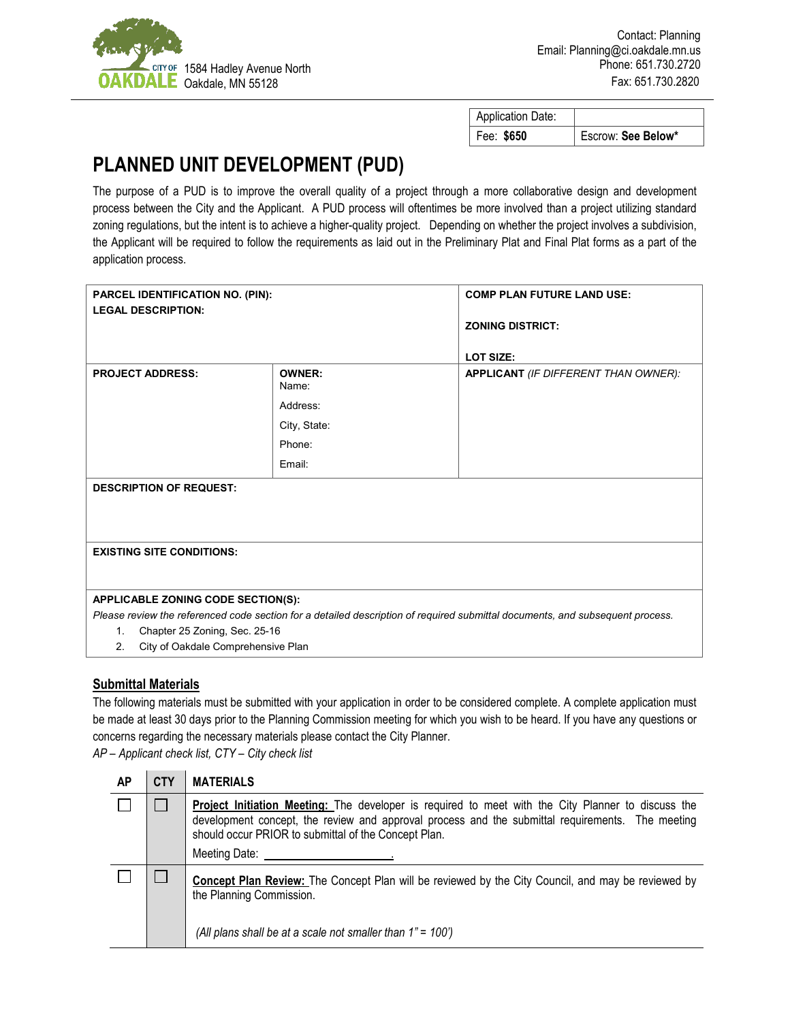

| <b>Application Date:</b> |                    |
|--------------------------|--------------------|
| Fee: \$650               | Escrow: See Below* |

## **PLANNED UNIT DEVELOPMENT (PUD)**

The purpose of a PUD is to improve the overall quality of a project through a more collaborative design and development process between the City and the Applicant. A PUD process will oftentimes be more involved than a project utilizing standard zoning regulations, but the intent is to achieve a higher-quality project. Depending on whether the project involves a subdivision, the Applicant will be required to follow the requirements as laid out in the Preliminary Plat and Final Plat forms as a part of the application process.

| <b>PARCEL IDENTIFICATION NO. (PIN):</b>                                                                                       |                        | <b>COMP PLAN FUTURE LAND USE:</b>    |  |  |  |
|-------------------------------------------------------------------------------------------------------------------------------|------------------------|--------------------------------------|--|--|--|
| <b>LEGAL DESCRIPTION:</b>                                                                                                     |                        |                                      |  |  |  |
|                                                                                                                               |                        | <b>ZONING DISTRICT:</b>              |  |  |  |
|                                                                                                                               |                        |                                      |  |  |  |
|                                                                                                                               |                        | <b>LOT SIZE:</b>                     |  |  |  |
| <b>PROJECT ADDRESS:</b>                                                                                                       | <b>OWNER:</b><br>Name: | APPLICANT (IF DIFFERENT THAN OWNER): |  |  |  |
|                                                                                                                               | Address:               |                                      |  |  |  |
|                                                                                                                               | City, State:           |                                      |  |  |  |
|                                                                                                                               | Phone:                 |                                      |  |  |  |
|                                                                                                                               | Email:                 |                                      |  |  |  |
| <b>DESCRIPTION OF REQUEST:</b>                                                                                                |                        |                                      |  |  |  |
|                                                                                                                               |                        |                                      |  |  |  |
|                                                                                                                               |                        |                                      |  |  |  |
|                                                                                                                               |                        |                                      |  |  |  |
| <b>EXISTING SITE CONDITIONS:</b>                                                                                              |                        |                                      |  |  |  |
|                                                                                                                               |                        |                                      |  |  |  |
| <b>APPLICABLE ZONING CODE SECTION(S):</b>                                                                                     |                        |                                      |  |  |  |
| Please review the referenced code section for a detailed description of required submittal documents, and subsequent process. |                        |                                      |  |  |  |
| Chapter 25 Zoning, Sec. 25-16<br>1.                                                                                           |                        |                                      |  |  |  |
| City of Oakdale Comprehensive Plan<br>2.                                                                                      |                        |                                      |  |  |  |

## **Submittal Materials**

The following materials must be submitted with your application in order to be considered complete. A complete application must be made at least 30 days prior to the Planning Commission meeting for which you wish to be heard. If you have any questions or concerns regarding the necessary materials please contact the City Planner.

*AP – Applicant check list, CTY – City check list*

| АP | <b>CTY</b> | <b>MATERIALS</b>                                                                                                                                                                                                                                                                       |  |
|----|------------|----------------------------------------------------------------------------------------------------------------------------------------------------------------------------------------------------------------------------------------------------------------------------------------|--|
|    |            | <b>Project Initiation Meeting:</b> The developer is required to meet with the City Planner to discuss the<br>development concept, the review and approval process and the submittal requirements. The meeting<br>should occur PRIOR to submittal of the Concept Plan.<br>Meeting Date: |  |
|    |            | <b>Concept Plan Review:</b> The Concept Plan will be reviewed by the City Council, and may be reviewed by<br>the Planning Commission.<br>(All plans shall be at a scale not smaller than $1" = 100'$ )                                                                                 |  |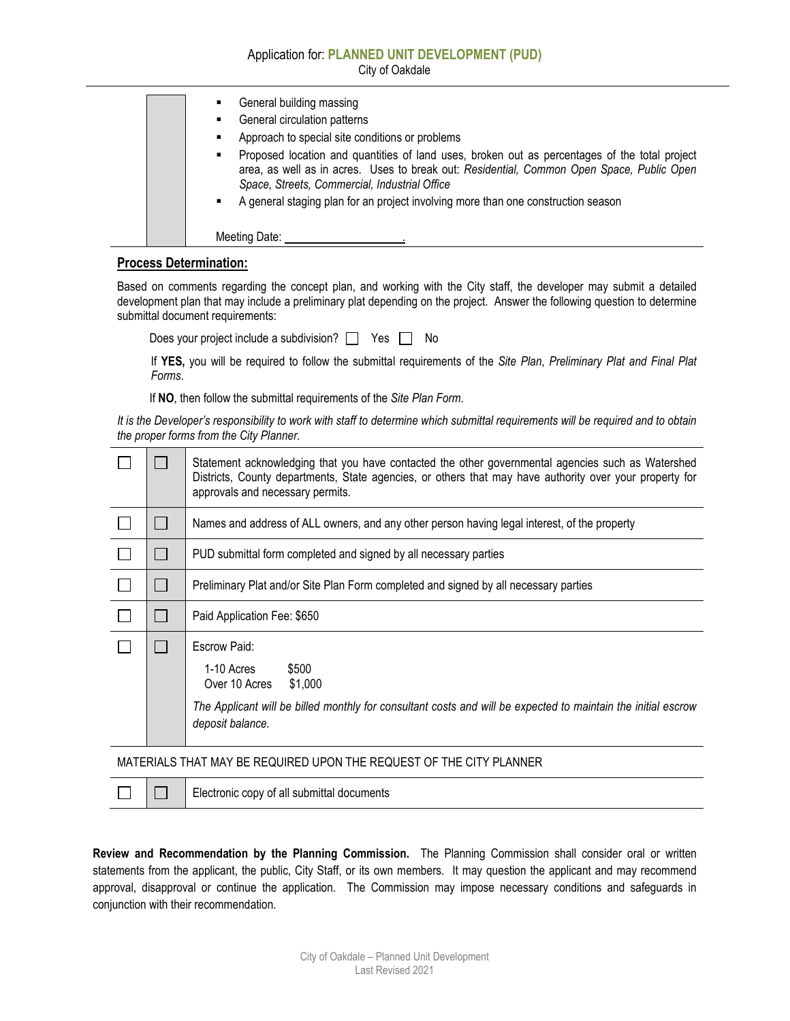Application for: **PLANNED UNIT DEVELOPMENT (PUD)** City of Oakdale

| General building massing<br>٠                                                                                                                                                                                                                                                                                                              |
|--------------------------------------------------------------------------------------------------------------------------------------------------------------------------------------------------------------------------------------------------------------------------------------------------------------------------------------------|
| General circulation patterns<br>٠                                                                                                                                                                                                                                                                                                          |
| Approach to special site conditions or problems<br>$\blacksquare$                                                                                                                                                                                                                                                                          |
| Proposed location and quantities of land uses, broken out as percentages of the total project<br>٠<br>area, as well as in acres. Uses to break out: Residential, Common Open Space, Public Open<br>Space, Streets, Commercial, Industrial Office<br>A general staging plan for an project involving more than one construction season<br>٠ |
| Meeting Date:                                                                                                                                                                                                                                                                                                                              |

## **Process Determination:**

Based on comments regarding the concept plan, and working with the City staff, the developer may submit a detailed development plan that may include a preliminary plat depending on the project. Answer the following question to determine submittal document requirements:

Does your project include a subdivision?  $\Box$  Yes  $\Box$  No

If **YES,** you will be required to follow the submittal requirements of the *Site Plan*, *Preliminary Plat and Final Plat Forms*.

If **NO**, then follow the submittal requirements of the *Site Plan Form*.

*It is the Developer's responsibility to work with staff to determine which submittal requirements will be required and to obtain the proper forms from the City Planner.*

|                                                                     |        | Statement acknowledging that you have contacted the other governmental agencies such as Watershed<br>Districts, County departments, State agencies, or others that may have authority over your property for<br>approvals and necessary permits. |  |
|---------------------------------------------------------------------|--------|--------------------------------------------------------------------------------------------------------------------------------------------------------------------------------------------------------------------------------------------------|--|
|                                                                     | $\Box$ | Names and address of ALL owners, and any other person having legal interest, of the property                                                                                                                                                     |  |
|                                                                     |        | PUD submittal form completed and signed by all necessary parties                                                                                                                                                                                 |  |
|                                                                     |        | Preliminary Plat and/or Site Plan Form completed and signed by all necessary parties                                                                                                                                                             |  |
|                                                                     |        | Paid Application Fee: \$650                                                                                                                                                                                                                      |  |
|                                                                     |        | Escrow Paid:<br>1-10 Acres<br>\$500<br>Over 10 Acres<br>\$1,000<br>The Applicant will be billed monthly for consultant costs and will be expected to maintain the initial escrow<br>deposit balance.                                             |  |
| MATERIALS THAT MAY BE REQUIRED UPON THE REQUEST OF THE CITY PLANNER |        |                                                                                                                                                                                                                                                  |  |

П

 $\Box$ 

Electronic copy of all submittal documents

**Review and Recommendation by the Planning Commission.** The Planning Commission shall consider oral or written statements from the applicant, the public, City Staff, or its own members. It may question the applicant and may recommend approval, disapproval or continue the application. The Commission may impose necessary conditions and safeguards in conjunction with their recommendation.